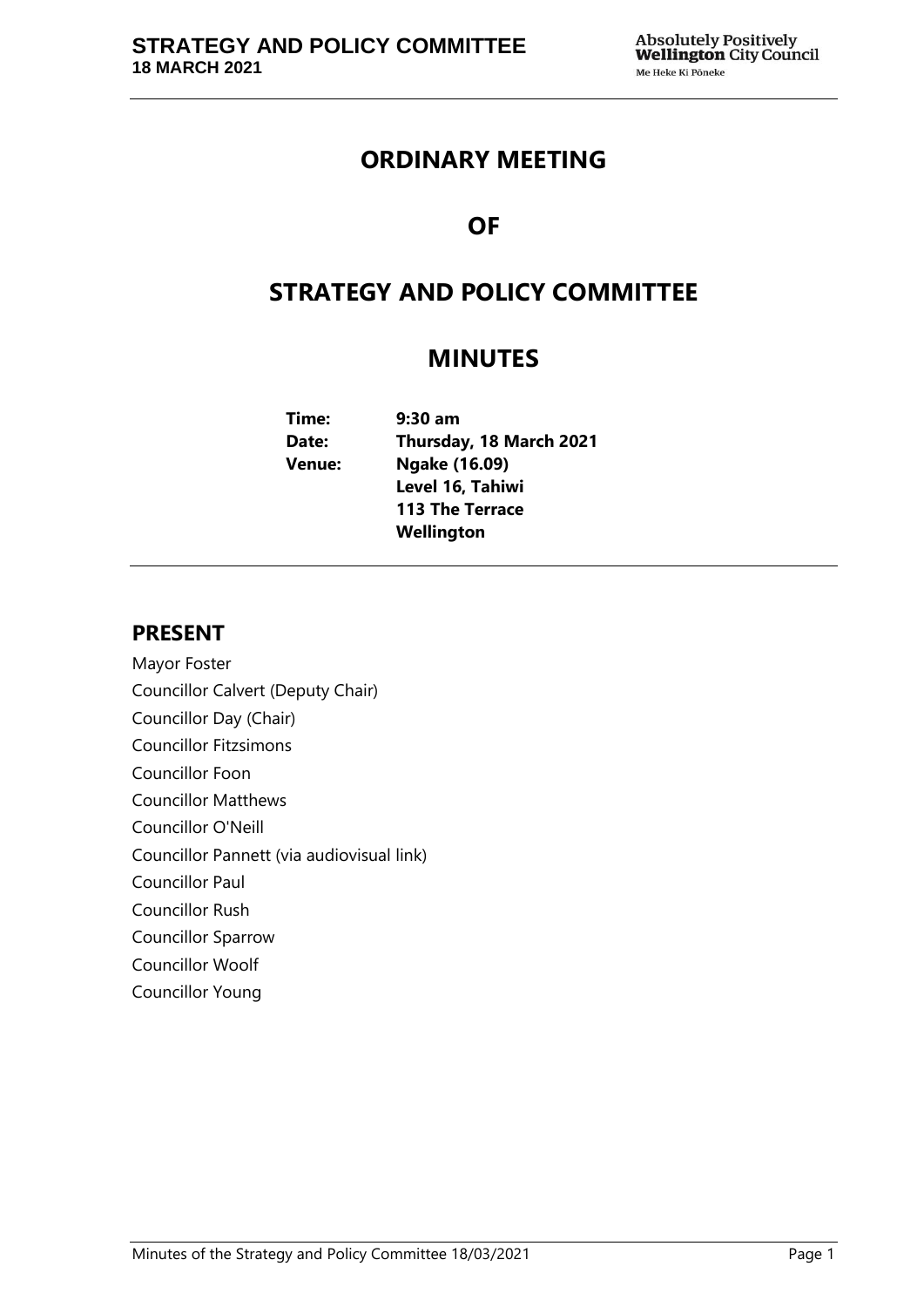# **ORDINARY MEETING**

# **OF**

# **STRATEGY AND POLICY COMMITTEE**

# **MINUTES**

| Time:  | $9:30$ am               |
|--------|-------------------------|
| Date:  | Thursday, 18 March 2021 |
| Venue: | Ngake (16.09)           |
|        | Level 16, Tahiwi        |
|        | <b>113 The Terrace</b>  |
|        | Wellington              |

## **PRESENT**

- Mayor Foster Councillor Calvert (Deputy Chair)
- Councillor Day (Chair)
- Councillor Fitzsimons
- Councillor Foon
- Councillor Matthews
- Councillor O'Neill
- Councillor Pannett (via audiovisual link)
- Councillor Paul
- Councillor Rush
- Councillor Sparrow
- Councillor Woolf
- Councillor Young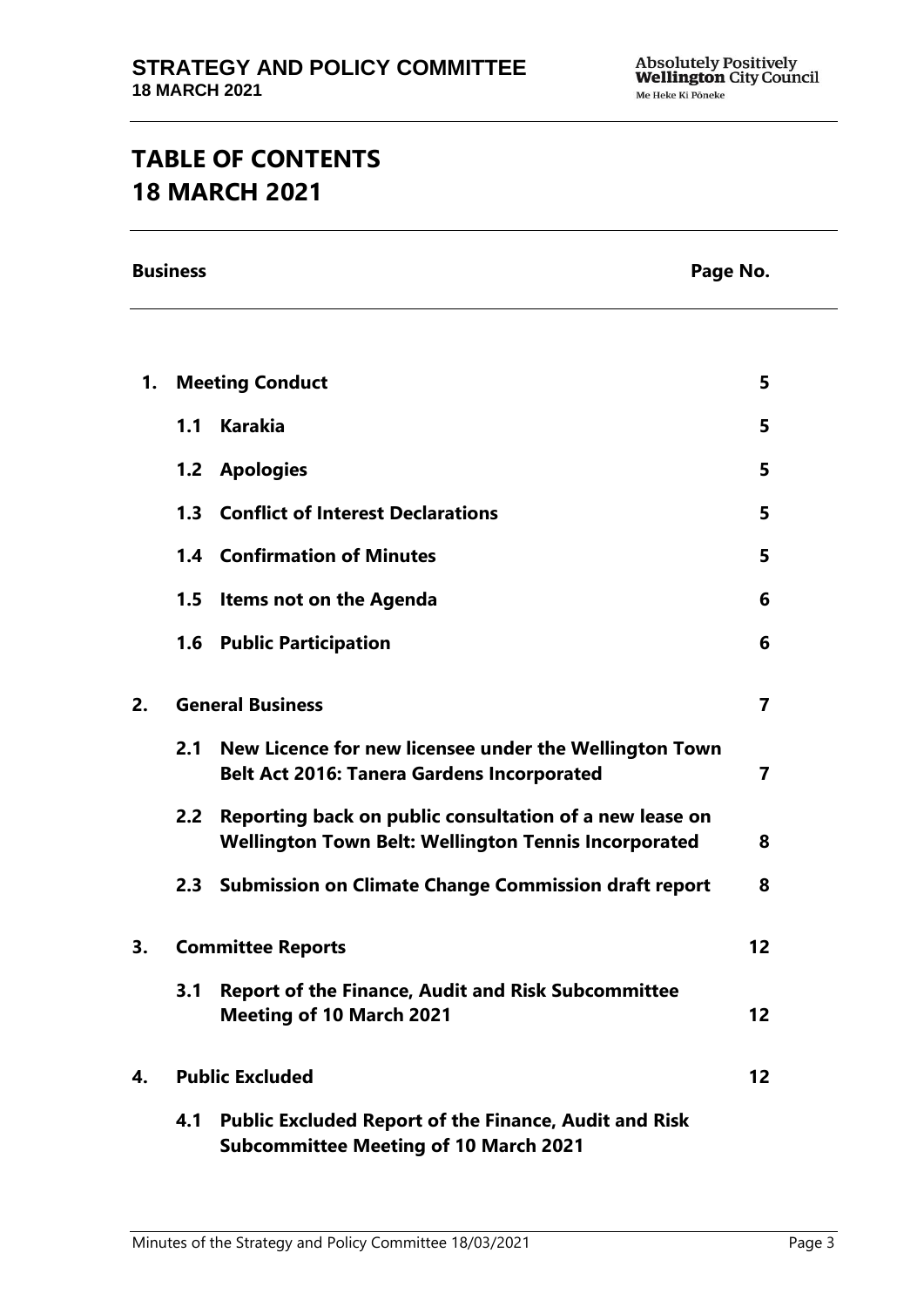# **TABLE OF CONTENTS 18 MARCH 2021**

**Business Page No.**

| 1. | <b>Meeting Conduct</b>  |                                                                                                                        | 5               |
|----|-------------------------|------------------------------------------------------------------------------------------------------------------------|-----------------|
|    | 1.1                     | <b>Karakia</b>                                                                                                         | 5               |
|    |                         | 1.2 Apologies                                                                                                          | 5               |
|    |                         | 1.3 Conflict of Interest Declarations                                                                                  | 5               |
|    |                         | <b>1.4 Confirmation of Minutes</b>                                                                                     | 5               |
|    | 1.5                     | Items not on the Agenda                                                                                                | 6               |
|    |                         | 1.6 Public Participation                                                                                               | 6               |
| 2. | <b>General Business</b> |                                                                                                                        | $\overline{7}$  |
|    | 2.1                     | New Licence for new licensee under the Wellington Town<br><b>Belt Act 2016: Tanera Gardens Incorporated</b>            | $\overline{7}$  |
|    | 2.2 <sub>2</sub>        | Reporting back on public consultation of a new lease on<br><b>Wellington Town Belt: Wellington Tennis Incorporated</b> | 8               |
|    |                         | 2.3 Submission on Climate Change Commission draft report                                                               | 8               |
| 3. |                         | <b>Committee Reports</b>                                                                                               | 12 <sup>2</sup> |
|    | 3.1                     | <b>Report of the Finance, Audit and Risk Subcommittee</b><br><b>Meeting of 10 March 2021</b>                           | 12 <sub>2</sub> |
| 4. | <b>Public Excluded</b>  |                                                                                                                        | 12 <sup>2</sup> |
|    | 4.1                     | <b>Public Excluded Report of the Finance, Audit and Risk</b><br><b>Subcommittee Meeting of 10 March 2021</b>           |                 |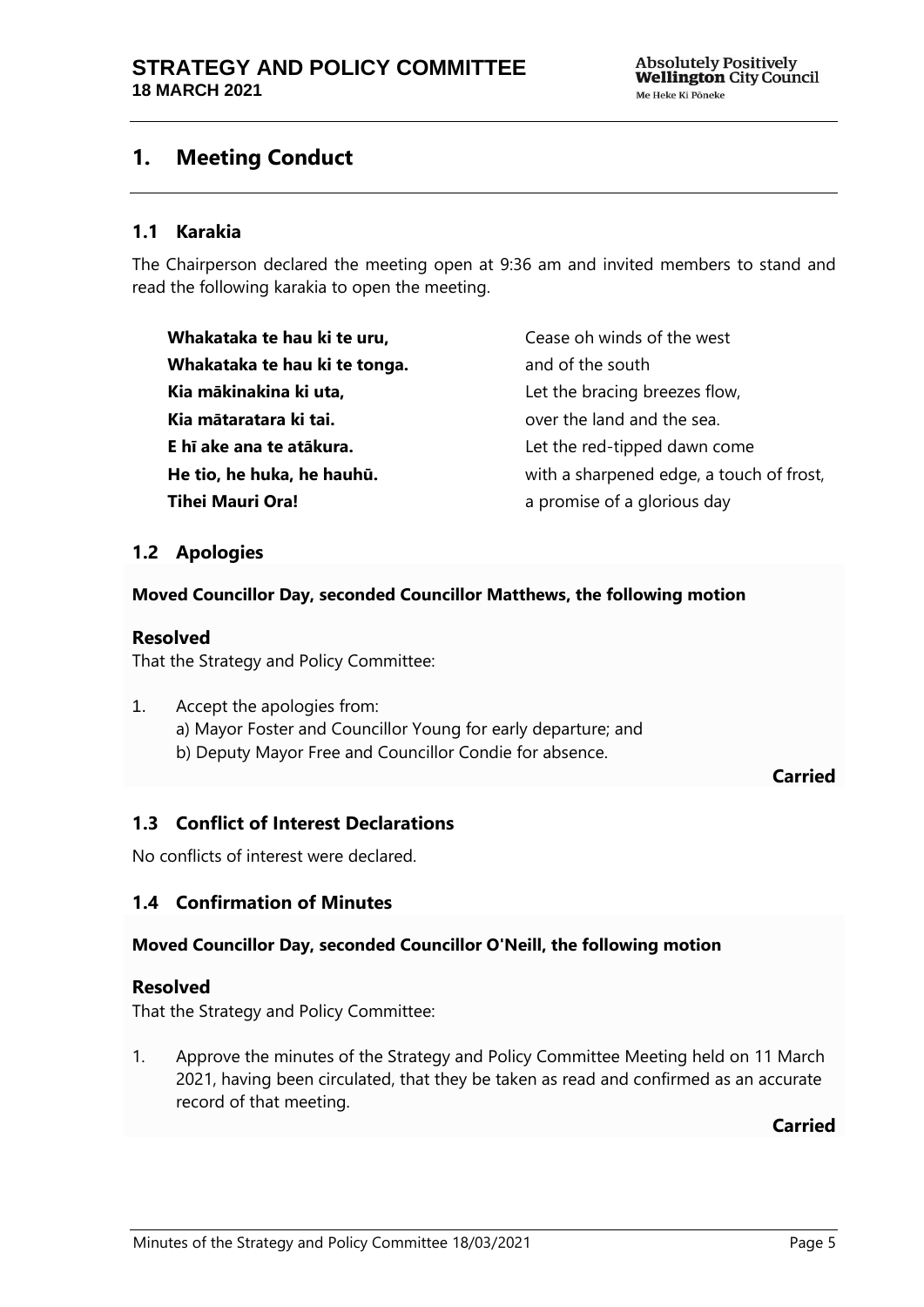## <span id="page-4-0"></span>**1. Meeting Conduct**

#### **1.1 Karakia**

The Chairperson declared the meeting open at 9:36 am and invited members to stand and read the following karakia to open the meeting.

**Whakataka te hau ki te uru, Whakataka te hau ki te tonga. Kia mākinakina ki uta, Kia mātaratara ki tai. E hī ake ana te atākura. He tio, he huka, he hauhū. Tihei Mauri Ora!**

Cease oh winds of the west and of the south Let the bracing breezes flow, over the land and the sea. Let the red-tipped dawn come with a sharpened edge, a touch of frost, a promise of a glorious day

### <span id="page-4-1"></span>**1.2 Apologies**

#### **Moved Councillor Day, seconded Councillor Matthews, the following motion**

#### **Resolved**

That the Strategy and Policy Committee:

- 1. Accept the apologies from: a) Mayor Foster and Councillor Young for early departure; and
	- b) Deputy Mayor Free and Councillor Condie for absence.

**Carried**

## <span id="page-4-2"></span>**1.3 Conflict of Interest Declarations**

No conflicts of interest were declared.

## <span id="page-4-3"></span>**1.4 Confirmation of Minutes**

#### **Moved Councillor Day, seconded Councillor O'Neill, the following motion**

#### **Resolved**

That the Strategy and Policy Committee:

1. Approve the minutes of the Strategy and Policy Committee Meeting held on 11 March 2021, having been circulated, that they be taken as read and confirmed as an accurate record of that meeting.

**Carried**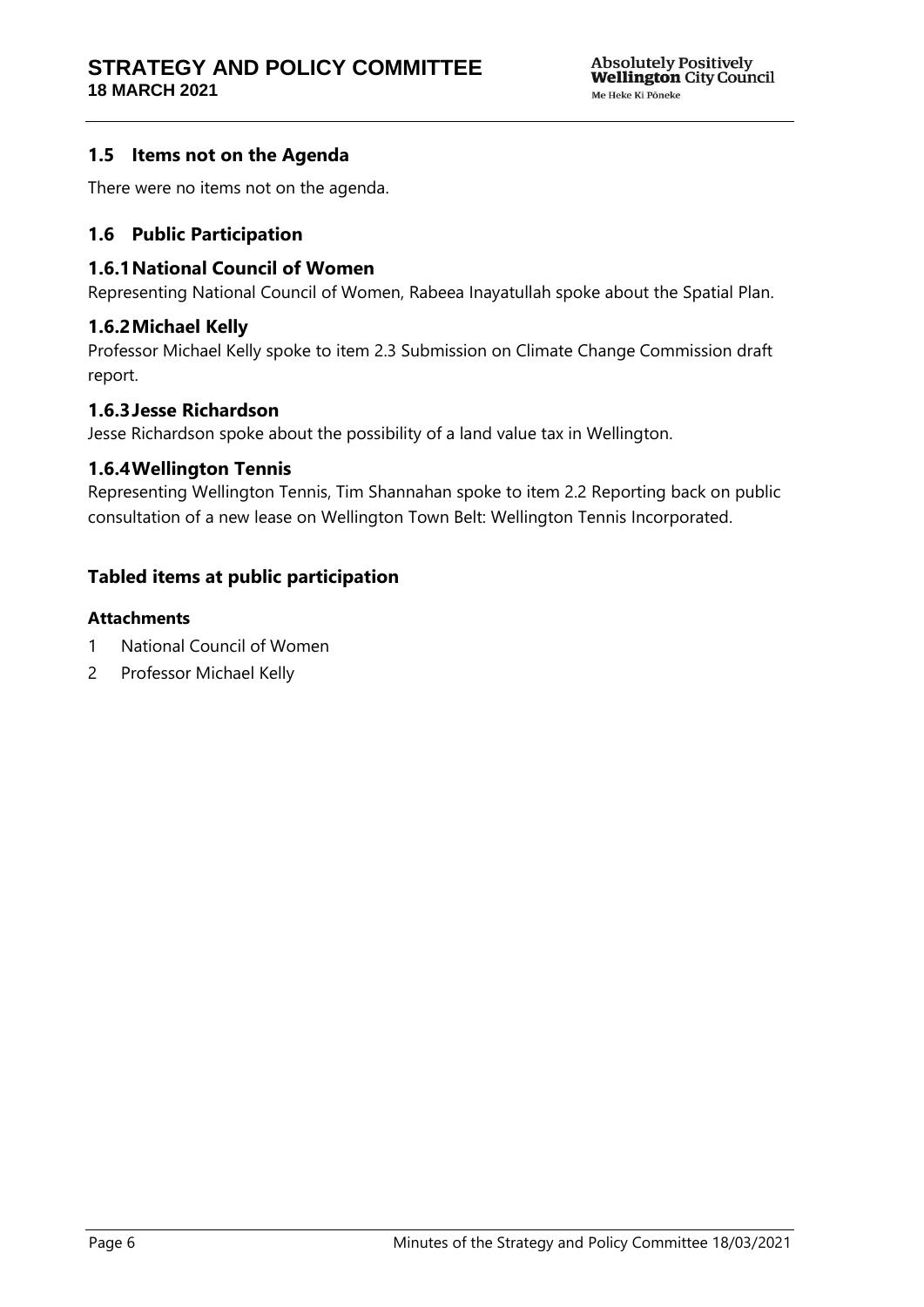## <span id="page-5-0"></span>**1.5 Items not on the Agenda**

There were no items not on the agenda.

## <span id="page-5-1"></span>**1.6 Public Participation**

#### **1.6.1National Council of Women**

Representing National Council of Women, Rabeea Inayatullah spoke about the Spatial Plan.

#### **1.6.2Michael Kelly**

Professor Michael Kelly spoke to item 2.3 Submission on Climate Change Commission draft report.

#### **1.6.3Jesse Richardson**

Jesse Richardson spoke about the possibility of a land value tax in Wellington.

#### **1.6.4Wellington Tennis**

Representing Wellington Tennis, Tim Shannahan spoke to item 2.2 Reporting back on public consultation of a new lease on Wellington Town Belt: Wellington Tennis Incorporated.

## **Tabled items at public participation**

#### **Attachments**

- 1 National Council of Women
- 2 Professor Michael Kelly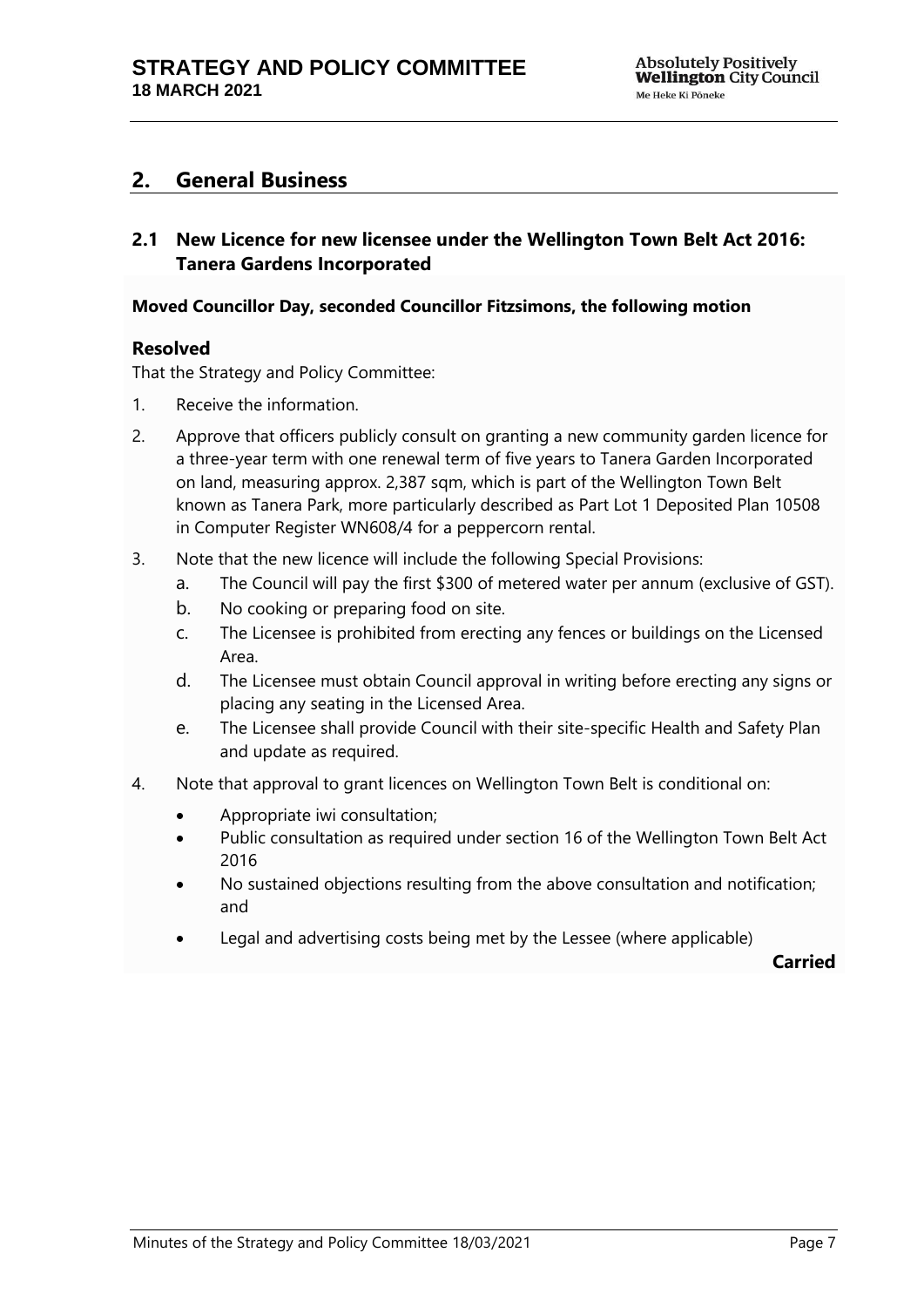## <span id="page-6-0"></span>**2. General Business**

<span id="page-6-1"></span>**2.1 New Licence for new licensee under the Wellington Town Belt Act 2016: Tanera Gardens Incorporated**

#### **Moved Councillor Day, seconded Councillor Fitzsimons, the following motion**

#### **Resolved**

That the Strategy and Policy Committee:

- 1. Receive the information.
- 2. Approve that officers publicly consult on granting a new community garden licence for a three-year term with one renewal term of five years to Tanera Garden Incorporated on land, measuring approx. 2,387 sqm, which is part of the Wellington Town Belt known as Tanera Park, more particularly described as Part Lot 1 Deposited Plan 10508 in Computer Register WN608/4 for a peppercorn rental.
- 3. Note that the new licence will include the following Special Provisions:
	- a. The Council will pay the first \$300 of metered water per annum (exclusive of GST).
	- b. No cooking or preparing food on site.
	- c. The Licensee is prohibited from erecting any fences or buildings on the Licensed Area.
	- d. The Licensee must obtain Council approval in writing before erecting any signs or placing any seating in the Licensed Area.
	- e. The Licensee shall provide Council with their site-specific Health and Safety Plan and update as required.
- 4. Note that approval to grant licences on Wellington Town Belt is conditional on:
	- Appropriate iwi consultation;
	- Public consultation as required under section 16 of the Wellington Town Belt Act 2016
	- No sustained objections resulting from the above consultation and notification; and
	- Legal and advertising costs being met by the Lessee (where applicable)

**Carried**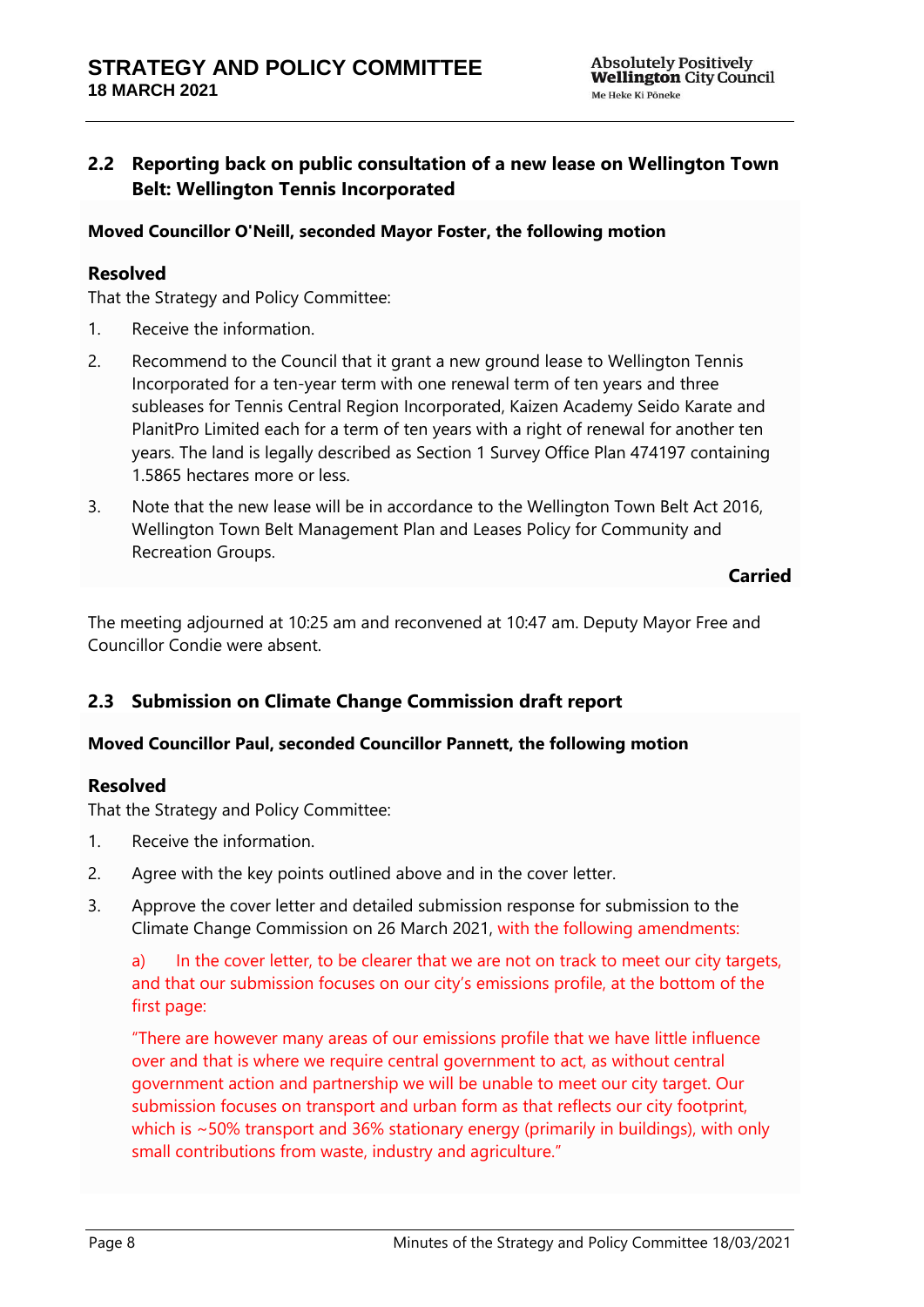## <span id="page-7-0"></span>**2.2 Reporting back on public consultation of a new lease on Wellington Town Belt: Wellington Tennis Incorporated**

#### **Moved Councillor O'Neill, seconded Mayor Foster, the following motion**

#### **Resolved**

That the Strategy and Policy Committee:

- 1. Receive the information.
- 2. Recommend to the Council that it grant a new ground lease to Wellington Tennis Incorporated for a ten-year term with one renewal term of ten years and three subleases for Tennis Central Region Incorporated, Kaizen Academy Seido Karate and PlanitPro Limited each for a term of ten years with a right of renewal for another ten years. The land is legally described as Section 1 Survey Office Plan 474197 containing 1.5865 hectares more or less.
- 3. Note that the new lease will be in accordance to the Wellington Town Belt Act 2016, Wellington Town Belt Management Plan and Leases Policy for Community and Recreation Groups.

#### **Carried**

The meeting adjourned at 10:25 am and reconvened at 10:47 am. Deputy Mayor Free and Councillor Condie were absent.

## <span id="page-7-1"></span>**2.3 Submission on Climate Change Commission draft report**

#### **Moved Councillor Paul, seconded Councillor Pannett, the following motion**

#### **Resolved**

That the Strategy and Policy Committee:

- 1. Receive the information.
- 2. Agree with the key points outlined above and in the cover letter.
- 3. Approve the cover letter and detailed submission response for submission to the Climate Change Commission on 26 March 2021, with the following amendments:

a) In the cover letter, to be clearer that we are not on track to meet our city targets, and that our submission focuses on our city's emissions profile, at the bottom of the first page:

"There are however many areas of our emissions profile that we have little influence over and that is where we require central government to act, as without central government action and partnership we will be unable to meet our city target. Our submission focuses on transport and urban form as that reflects our city footprint, which is ~50% transport and 36% stationary energy (primarily in buildings), with only small contributions from waste, industry and agriculture."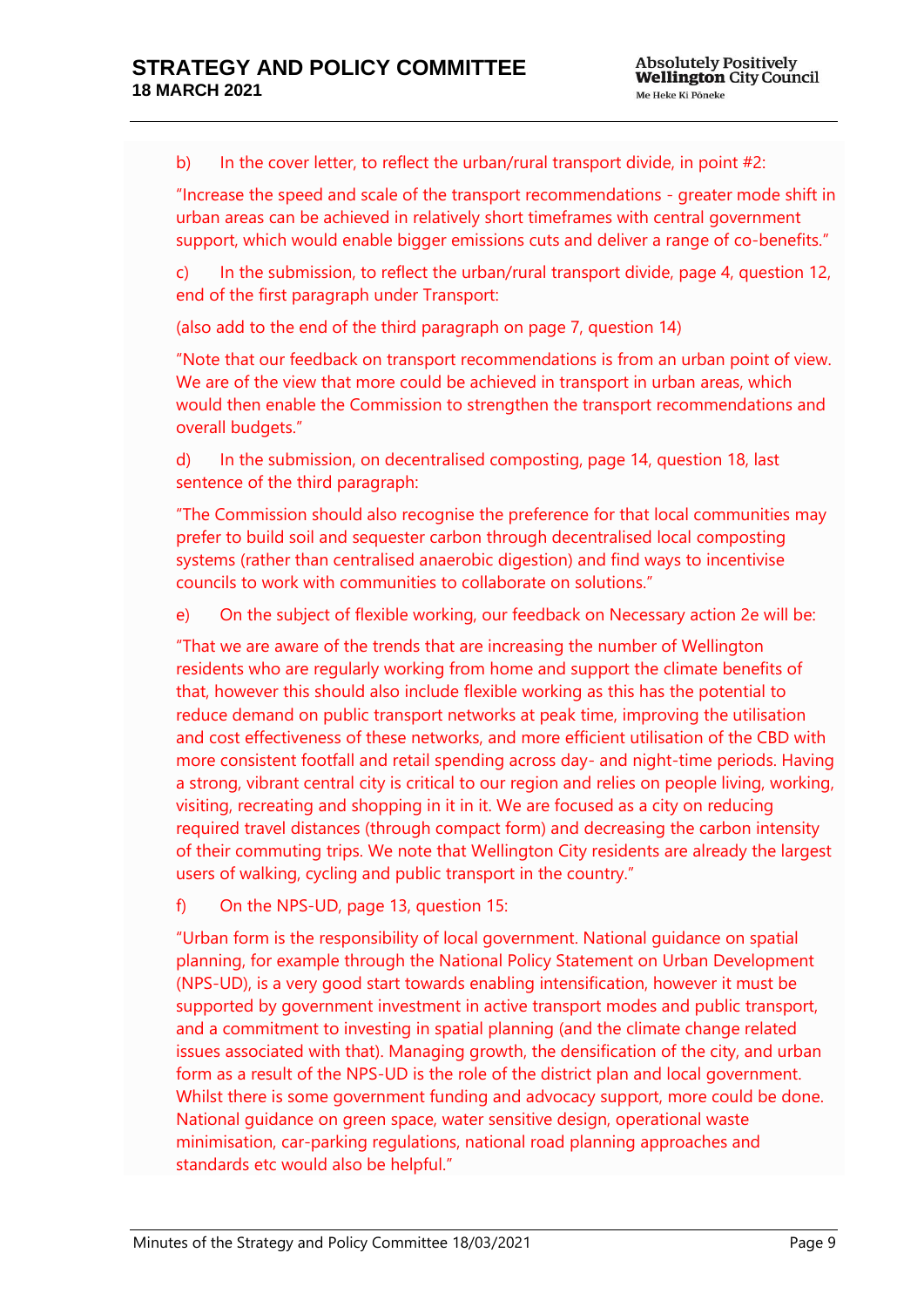b) In the cover letter, to reflect the urban/rural transport divide, in point #2:

"Increase the speed and scale of the transport recommendations - greater mode shift in urban areas can be achieved in relatively short timeframes with central government support, which would enable bigger emissions cuts and deliver a range of co-benefits."

c) In the submission, to reflect the urban/rural transport divide, page 4, question 12, end of the first paragraph under Transport:

(also add to the end of the third paragraph on page 7, question 14)

"Note that our feedback on transport recommendations is from an urban point of view. We are of the view that more could be achieved in transport in urban areas, which would then enable the Commission to strengthen the transport recommendations and overall budgets."

d) In the submission, on decentralised composting, page 14, question 18, last sentence of the third paragraph:

"The Commission should also recognise the preference for that local communities may prefer to build soil and sequester carbon through decentralised local composting systems (rather than centralised anaerobic digestion) and find ways to incentivise councils to work with communities to collaborate on solutions."

e) On the subject of flexible working, our feedback on Necessary action 2e will be:

"That we are aware of the trends that are increasing the number of Wellington residents who are regularly working from home and support the climate benefits of that, however this should also include flexible working as this has the potential to reduce demand on public transport networks at peak time, improving the utilisation and cost effectiveness of these networks, and more efficient utilisation of the CBD with more consistent footfall and retail spending across day- and night-time periods. Having a strong, vibrant central city is critical to our region and relies on people living, working, visiting, recreating and shopping in it in it. We are focused as a city on reducing required travel distances (through compact form) and decreasing the carbon intensity of their commuting trips. We note that Wellington City residents are already the largest users of walking, cycling and public transport in the country."

f) On the NPS-UD, page 13, question 15:

"Urban form is the responsibility of local government. National guidance on spatial planning, for example through the National Policy Statement on Urban Development (NPS-UD), is a very good start towards enabling intensification, however it must be supported by government investment in active transport modes and public transport, and a commitment to investing in spatial planning (and the climate change related issues associated with that). Managing growth, the densification of the city, and urban form as a result of the NPS-UD is the role of the district plan and local government. Whilst there is some government funding and advocacy support, more could be done. National guidance on green space, water sensitive design, operational waste minimisation, car-parking regulations, national road planning approaches and standards etc would also be helpful."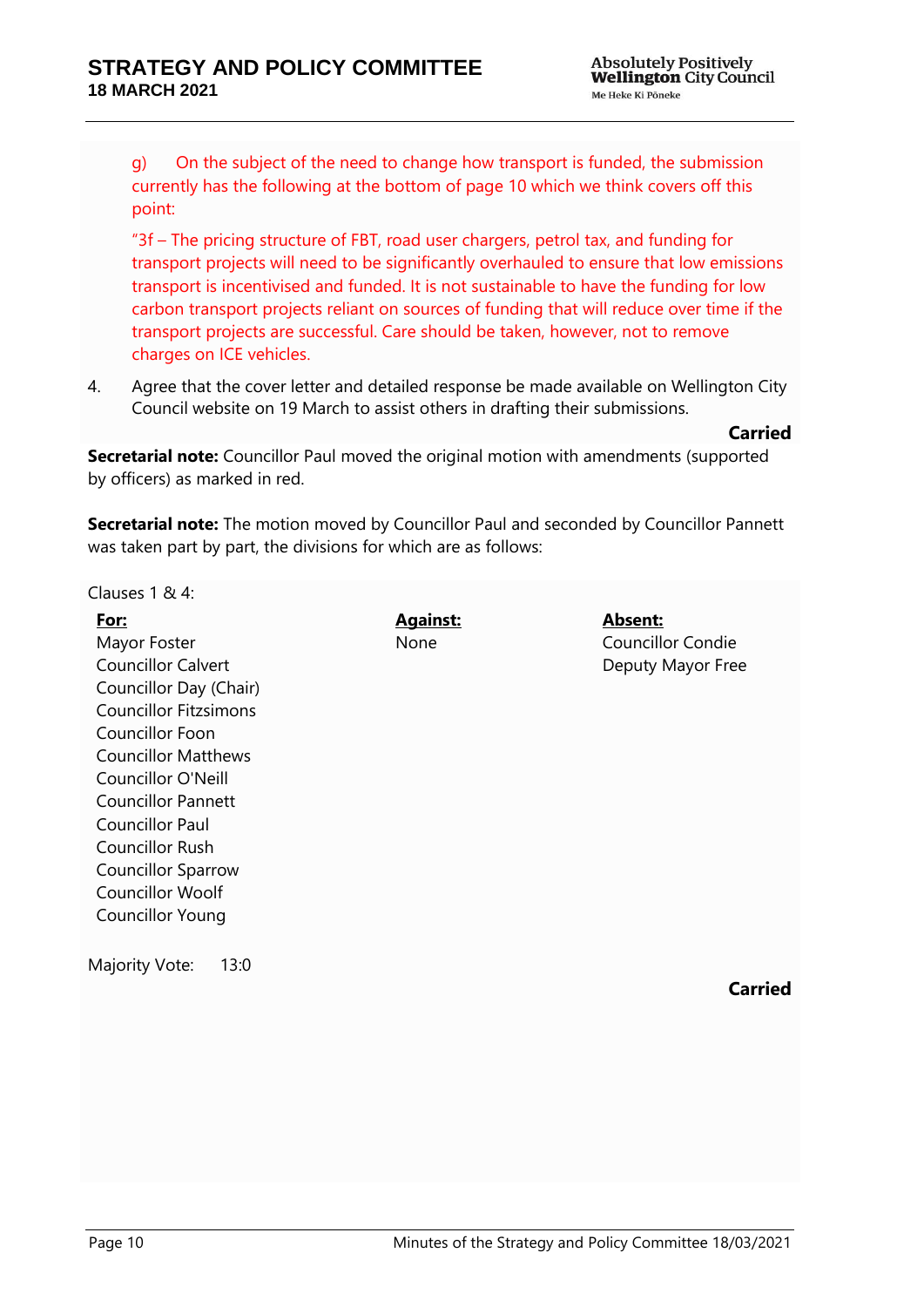g) On the subject of the need to change how transport is funded, the submission currently has the following at the bottom of page 10 which we think covers off this point:

"3f – The pricing structure of FBT, road user chargers, petrol tax, and funding for transport projects will need to be significantly overhauled to ensure that low emissions transport is incentivised and funded. It is not sustainable to have the funding for low carbon transport projects reliant on sources of funding that will reduce over time if the transport projects are successful. Care should be taken, however, not to remove charges on ICE vehicles.

4. Agree that the cover letter and detailed response be made available on Wellington City Council website on 19 March to assist others in drafting their submissions.

**Carried**

**Secretarial note:** Councillor Paul moved the original motion with amendments (supported by officers) as marked in red.

**Secretarial note:** The motion moved by Councillor Paul and seconded by Councillor Pannett was taken part by part, the divisions for which are as follows:

Clauses 1 & 4:

| <b>Absent:</b>           | <b>Against:</b> | <u>For:</u>                  |
|--------------------------|-----------------|------------------------------|
| <b>Councillor Condie</b> | None            | Mayor Foster                 |
| Deputy Mayor Free        |                 | <b>Councillor Calvert</b>    |
|                          |                 | Councillor Day (Chair)       |
|                          |                 | <b>Councillor Fitzsimons</b> |
|                          |                 | Councillor Foon              |
|                          |                 | <b>Councillor Matthews</b>   |
|                          |                 | Councillor O'Neill           |
|                          |                 | <b>Councillor Pannett</b>    |
|                          |                 | <b>Councillor Paul</b>       |
|                          |                 | <b>Councillor Rush</b>       |
|                          |                 | <b>Councillor Sparrow</b>    |
|                          |                 | <b>Councillor Woolf</b>      |
|                          |                 | <b>Councillor Young</b>      |
|                          |                 |                              |
| Carried                  |                 |                              |
|                          |                 | Majority Vote:<br>13:0       |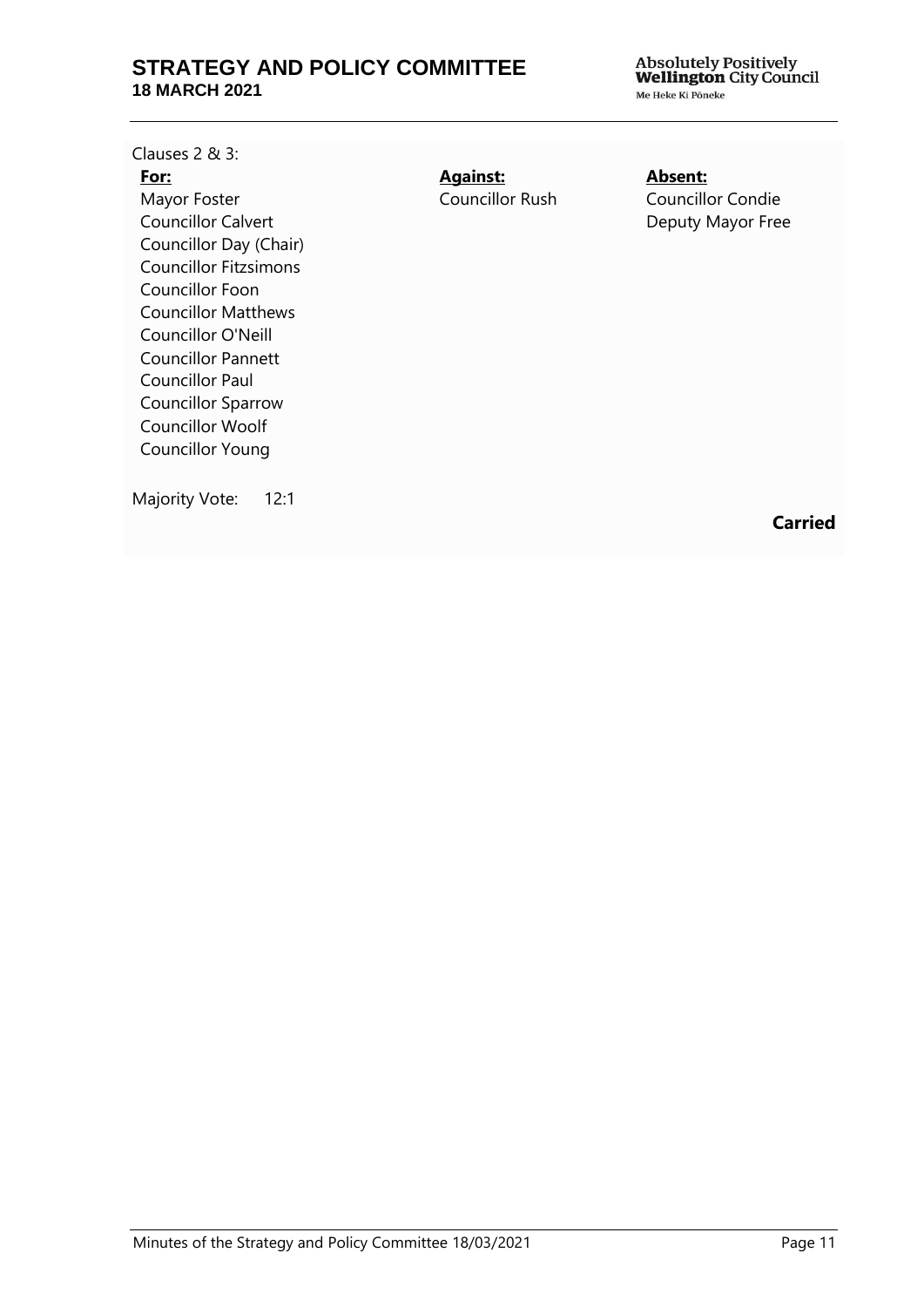Clauses 2 & 3:

#### **For:**

Mayor Foster Councillor Calvert Councillor Day (Chair) Councillor Fitzsimons Councillor Foon Councillor Matthews Councillor O'Neill Councillor Pannett Councillor Paul Councillor Sparrow Councillor Woolf Councillor Young

**Against:** Councillor Rush **Absent:** Councillor Condie Deputy Mayor Free

Majority Vote: 12:1

**Carried**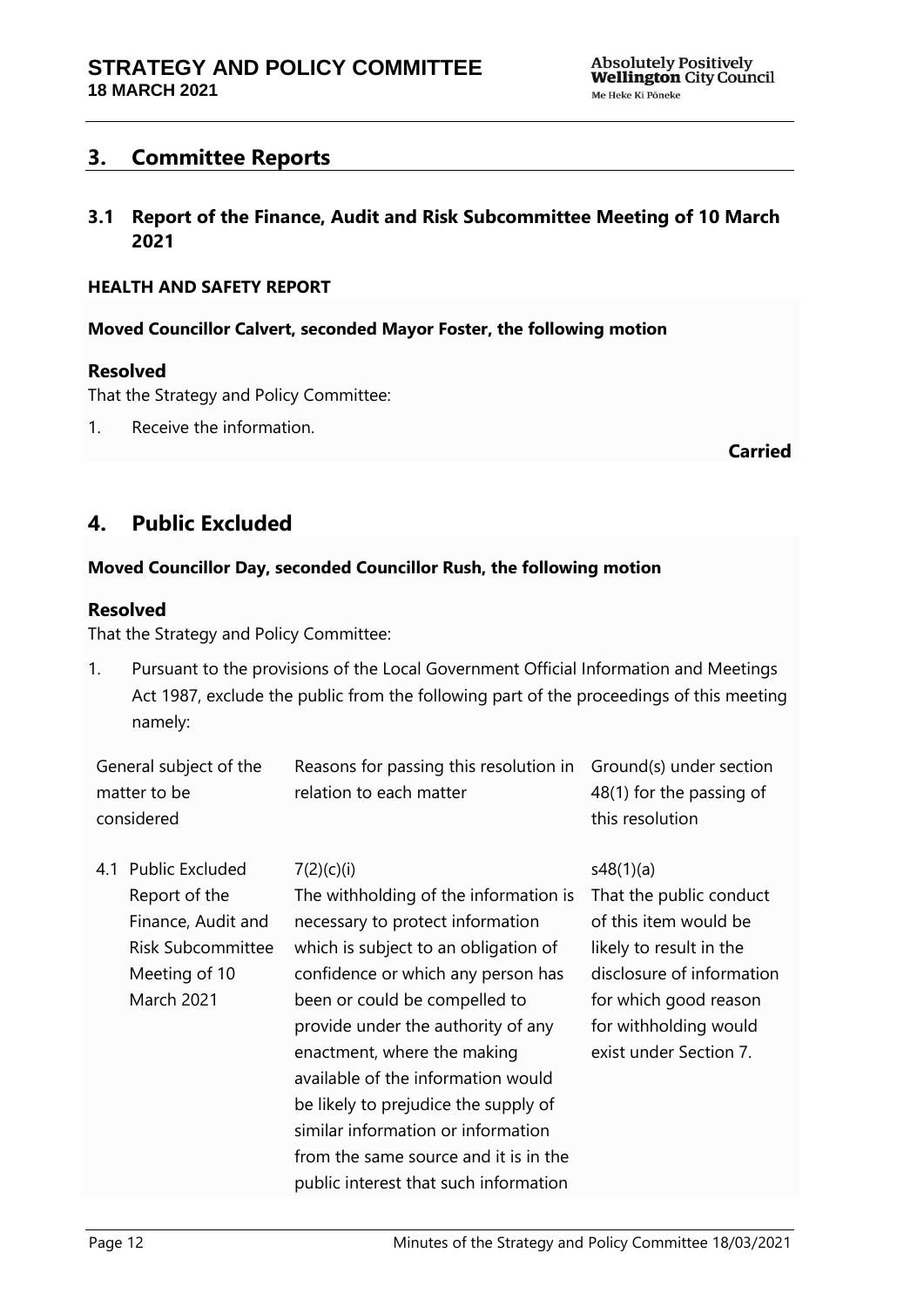## <span id="page-11-0"></span>**3. Committee Reports**

<span id="page-11-1"></span>**3.1 Report of the Finance, Audit and Risk Subcommittee Meeting of 10 March 2021**

#### **HEALTH AND SAFETY REPORT**

**Moved Councillor Calvert, seconded Mayor Foster, the following motion**

#### **Resolved**

That the Strategy and Policy Committee:

1. Receive the information.

#### **Carried**

## <span id="page-11-2"></span>**4. Public Excluded**

#### **Moved Councillor Day, seconded Councillor Rush, the following motion**

#### **Resolved**

That the Strategy and Policy Committee:

1. Pursuant to the provisions of the Local Government Official Information and Meetings Act 1987, exclude the public from the following part of the proceedings of this meeting namely:

| General subject of the | Reasons for passing this resolution in $Ground(s)$ under section |                          |
|------------------------|------------------------------------------------------------------|--------------------------|
| matter to be           | relation to each matter                                          | 48(1) for the passing of |
| considered             |                                                                  | this resolution          |

4.1 Public Excluded Report of the Finance, Audit and Risk Subcommittee Meeting of 10 March 2021

#### $7(2)(c)(i)$

The withholding of the information is necessary to protect information which is subject to an obligation of confidence or which any person has been or could be compelled to provide under the authority of any enactment, where the making available of the information would be likely to prejudice the supply of similar information or information from the same source and it is in the public interest that such information

#### s48(1)(a)

That the public conduct of this item would be likely to result in the disclosure of information for which good reason for withholding would exist under Section 7.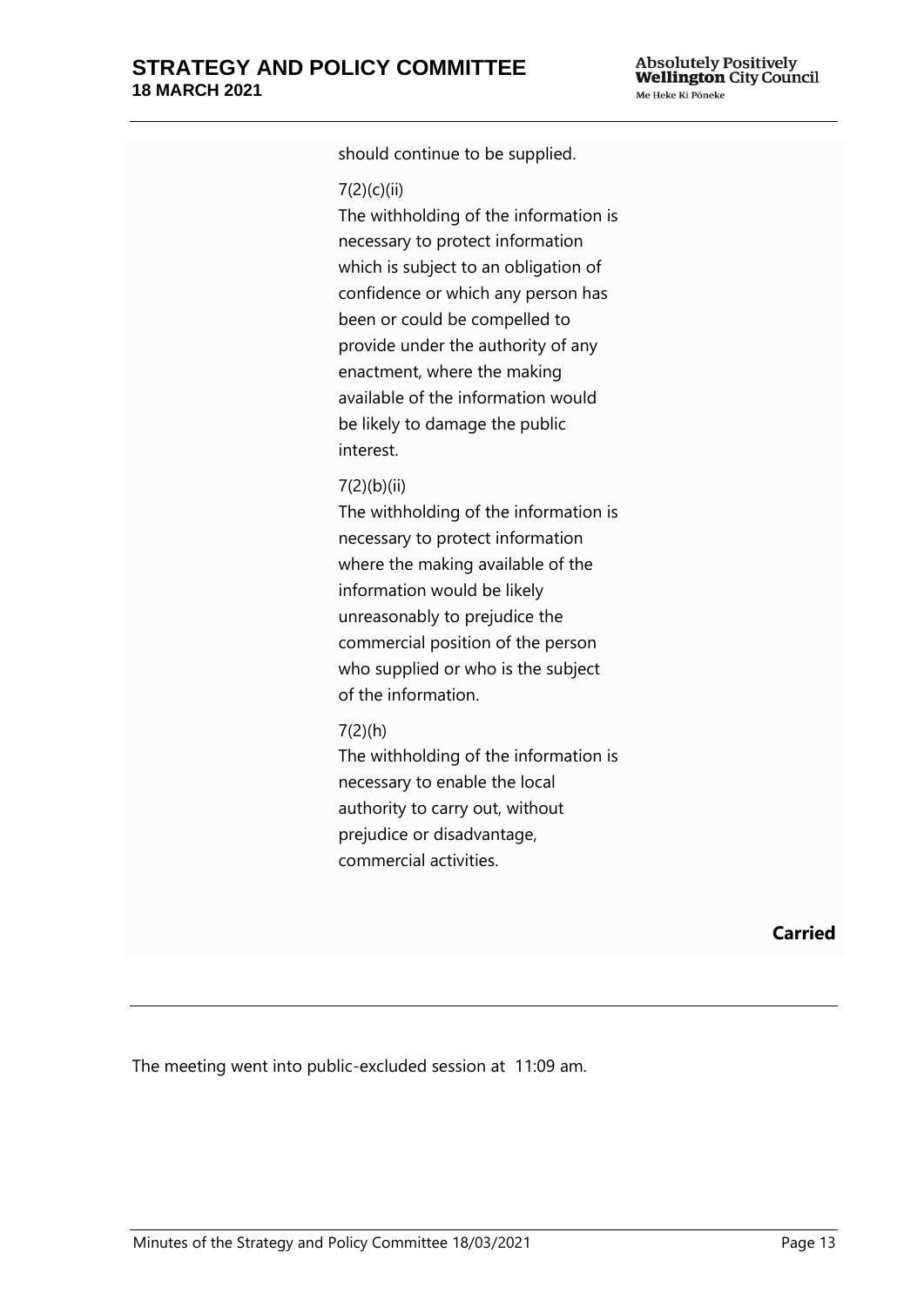should continue to be supplied.

#### 7(2)(c)(ii)

The withholding of the information is necessary to protect information which is subject to an obligation of confidence or which any person has been or could be compelled to provide under the authority of any enactment, where the making available of the information would be likely to damage the public interest.

#### 7(2)(b)(ii)

The withholding of the information is necessary to protect information where the making available of the information would be likely unreasonably to prejudice the commercial position of the person who supplied or who is the subject of the information.

#### 7(2)(h)

The withholding of the information is necessary to enable the local authority to carry out, without prejudice or disadvantage, commercial activities.

**Carried**

The meeting went into public-excluded session at 11:09 am.